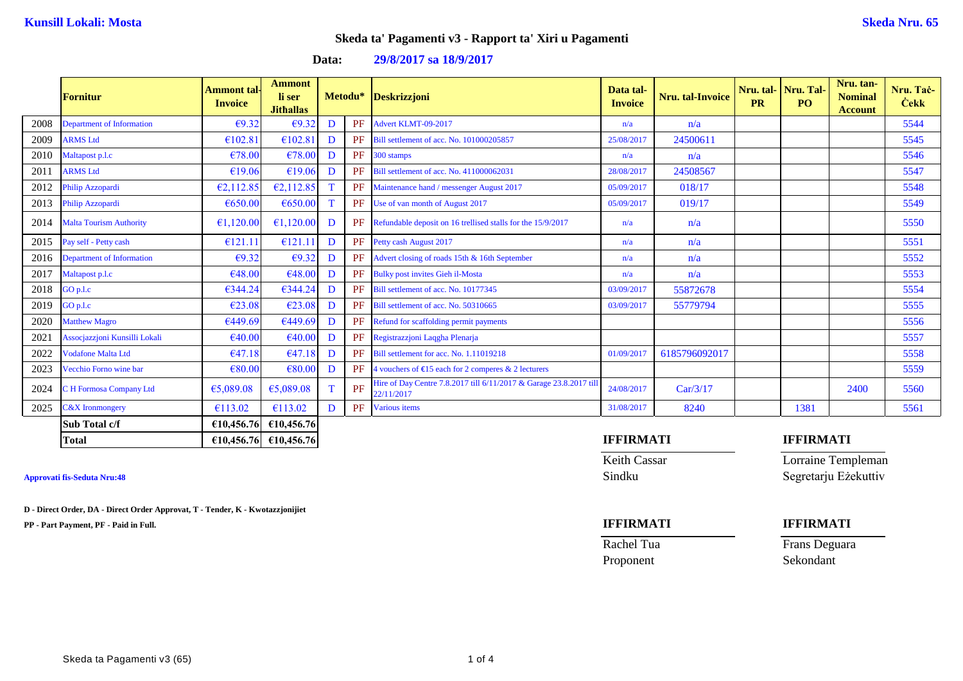**Nru. Taċ-Ċekk**

### **Skeda ta' Pagamenti v3 - Rapport ta' Xiri u Pagamenti**

|      | <b>Fornitur</b>                  | Ammont tal <sub>'</sub><br><b>Invoice</b> | Ammont<br>li ser<br><b>Jithallas</b> |   | Metodu*   | Deskrizzjoni                                                                     | Data tal-<br><b>Invoice</b> | Nru. tal-Invoice | <b>PR</b> | Nru. tal- Nru. Tal-<br>P <sub>O</sub> | Nru. tan-<br><b>Nominal</b><br><b>Account</b> | Nru. Ta<br><b>Cekk</b> |
|------|----------------------------------|-------------------------------------------|--------------------------------------|---|-----------|----------------------------------------------------------------------------------|-----------------------------|------------------|-----------|---------------------------------------|-----------------------------------------------|------------------------|
| 2008 | <b>Department of Information</b> | $\epsilon$ 9.32                           | $\epsilon$ 9.3                       | D | PF        | Advert KLMT-09-2017                                                              | n/a                         | n/a              |           |                                       |                                               | 5544                   |
| 2009 | <b>ARMS</b> Ltd                  | €102.81                                   | €102.81                              | D | PF        | Bill settlement of acc. No. 101000205857                                         | 25/08/2017                  | 24500611         |           |                                       |                                               | 5545                   |
| 2010 | Maltapost p.l.c                  | €78.00                                    | €78.00                               | D | PF        | 300 stamps                                                                       | n/a                         | n/a              |           |                                       |                                               | 5546                   |
| 2011 | <b>ARMS</b> Ltd                  | €19.06                                    | €19.06                               | D | PF        | Bill settlement of acc. No. 411000062031                                         | 28/08/2017                  | 24508567         |           |                                       |                                               | 5547                   |
| 2012 | Philip Azzopardi                 | €2,112.85                                 | €2,112.85                            |   | PF        | Maintenance hand / messenger August 2017                                         | 05/09/2017                  | 018/17           |           |                                       |                                               | 5548                   |
| 2013 | Philip Azzopardi                 | €650.00                                   | €650.00                              |   |           | PF Use of van month of August 2017                                               | 05/09/2017                  | 019/17           |           |                                       |                                               | 5549                   |
| 2014 | <b>Malta Tourism Authority</b>   | €1,120.00                                 | €1,120.00                            | D | PF        | Refundable deposit on 16 trellised stalls for the 15/9/2017                      | n/a                         | n/a              |           |                                       |                                               | 5550                   |
| 2015 | Pay self - Petty cash            | €121.11                                   | €121.11                              | D | <b>PF</b> | Petty cash August 2017                                                           | n/a                         | n/a              |           |                                       |                                               | 5551                   |
| 2016 | Department of Information        | $\epsilon$ 9.32                           | $\epsilon$ 9.32                      | D | PF        | Advert closing of roads 15th & 16th September                                    | n/a                         | n/a              |           |                                       |                                               | 5552                   |
| 2017 | Maltapost p.l.c                  | €48.00                                    | €48.00                               | D | PF        | <b>Bulky post invites Gieh il-Mosta</b>                                          | n/a                         | n/a              |           |                                       |                                               | 5553                   |
| 2018 | GO p.l.c                         | €344.24                                   | €344.24                              | D | PF        | Bill settlement of acc. No. 10177345                                             | 03/09/2017                  | 55872678         |           |                                       |                                               | 5554                   |
| 2019 | $GO$ p.l.c                       | €23.08                                    | €23.08                               | D | PF        | Bill settlement of acc. No. 50310665                                             | 03/09/2017                  | 55779794         |           |                                       |                                               | 5555                   |
| 2020 | <b>Matthew Magro</b>             | €449.69                                   | €449.69                              | D | PF        | Refund for scaffolding permit payments                                           |                             |                  |           |                                       |                                               | 5556                   |
| 2021 | Assocjazzjoni Kunsilli Lokali    | €40.00                                    | €40.00                               | D | PF        | Registrazzioni Laggha Plenarja                                                   |                             |                  |           |                                       |                                               | 5557                   |
| 2022 | <b>Vodafone Malta Ltd</b>        | €47.18                                    | €47.18                               | D | PF        | Bill settlement for acc. No. 1.11019218                                          | 01/09/2017                  | 6185796092017    |           |                                       |                                               | 5558                   |
| 2023 | Vecchio Forno wine bar           | €80.00                                    | €80.00                               | D | PF        | 4 vouchers of $E15$ each for 2 comperes & 2 lecturers                            |                             |                  |           |                                       |                                               | 5559                   |
| 2024 | C H Formosa Company Ltd          | €5,089.08                                 | €5,089.08                            |   | PF        | Hire of Day Centre 7.8.2017 till 6/11/2017 & Garage 23.8.2017 till<br>22/11/2017 | 24/08/2017                  | Car/3/17         |           |                                       | 2400                                          | 5560                   |
| 2025 | <b>C&amp;X</b> Ironmongery       | €113.02                                   | €113.02                              | D | PF        | <b>Various</b> items                                                             | 31/08/2017                  | 8240             |           | 1381                                  |                                               | 5561                   |
|      | Sub Total c/f                    |                                           | €10,456.76 €10,456.76                |   |           |                                                                                  |                             |                  |           |                                       |                                               |                        |

### **Data: 29/8/2017 sa 18/9/2017**

**D - Direct Order, DA - Direct Order Approvat, T - Tender, K - Kwotazzjonijiet**

**PP - Part Payment, PF - Paid in Full. IFFIRMATI IFFIRMATI**

### **Total €10,456.76 €10,456.76 IFFIRMATI IFFIRMATI**

Keith Cassar Lorraine Templeman **Approvati fis-Seduta Nru:48** Sindku Segretarju Eżekuttiv

Proponent Sekondant

Rachel Tua Frans Deguara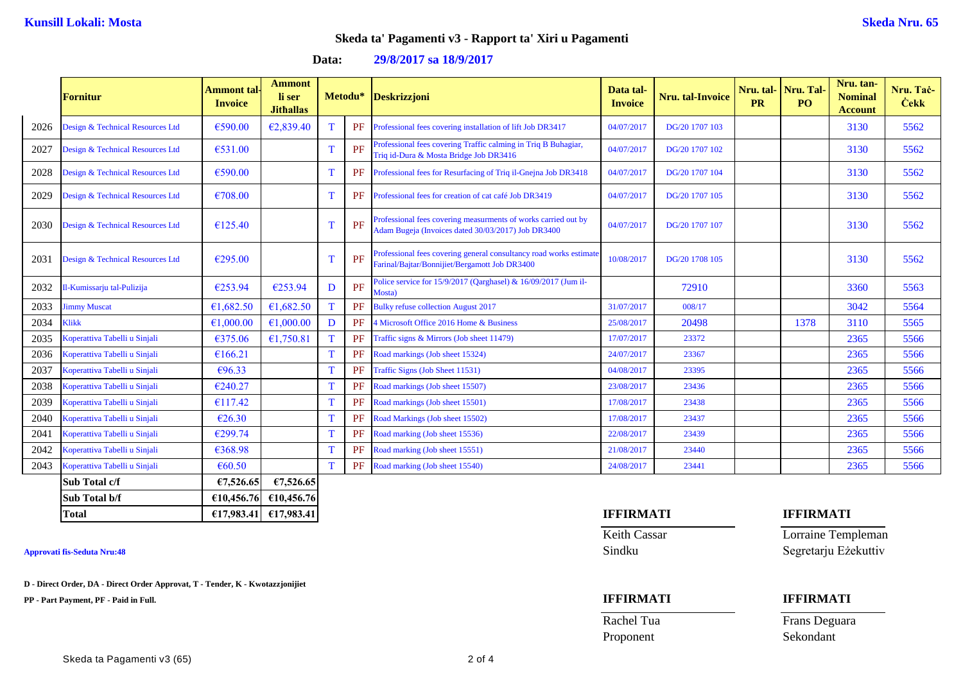## **Skeda ta' Pagamenti v3 - Rapport ta' Xiri u Pagamenti**

| Data: | 29/8/2017 sa 18/9/2017 |  |
|-------|------------------------|--|
|       |                        |  |

|      | <b>Fornitur</b>                  | <b>Ammont</b> tal-<br><b>Invoice</b> | <b>Ammont</b><br>li ser<br><b>Jithallas</b> |    | Metodu* | <b>Deskrizzjoni</b>                                                                                                  | Data tal-<br><b>Invoice</b> | Nru. tal-Invoice | Nru. tal-Nru. Tal<br><b>PR</b> | PO.  | Nru. tan-<br><b>Nominal</b><br><b>Account</b> | Nru. Tač-<br><b>Cekk</b> |
|------|----------------------------------|--------------------------------------|---------------------------------------------|----|---------|----------------------------------------------------------------------------------------------------------------------|-----------------------------|------------------|--------------------------------|------|-----------------------------------------------|--------------------------|
| 2026 | Design & Technical Resources Ltd | €590.00                              | €2,839.40                                   | T. | PF      | Professional fees covering installation of lift Job DR3417                                                           | 04/07/2017                  | DG/20 1707 103   |                                |      | 3130                                          | 5562                     |
| 2027 | Design & Technical Resources Ltd | €531.00                              |                                             |    | PF      | Professional fees covering Traffic calming in Triq B Buhagiar,<br>Triq id-Dura & Mosta Bridge Job DR3416             | 04/07/2017                  | DG/20 1707 102   |                                |      | 3130                                          | 5562                     |
| 2028 | Design & Technical Resources Ltd | €590.00                              |                                             | T  | PF      | Professional fees for Resurfacing of Triq il-Gnejna Job DR3418                                                       | 04/07/2017                  | DG/20 1707 104   |                                |      | 3130                                          | 5562                     |
| 2029 | Design & Technical Resources Ltd | €708.00                              |                                             |    | PF      | Professional fees for creation of cat café Job DR3419                                                                | 04/07/2017                  | DG/20 1707 105   |                                |      | 3130                                          | 5562                     |
| 2030 | Design & Technical Resources Ltd | €125.40                              |                                             |    | PF      | Professional fees covering measurments of works carried out by<br>Adam Bugeja (Invoices dated 30/03/2017) Job DR3400 | 04/07/2017                  | DG/20 1707 107   |                                |      | 3130                                          | 5562                     |
| 2031 | Design & Technical Resources Ltd | €295.00                              |                                             |    | PF      | Professional fees covering general consultancy road works estimate<br>Farinal/Bajtar/Bonnijiet/Bergamott Job DR3400  | 10/08/2017                  | DG/20 1708 105   |                                |      | 3130                                          | 5562                     |
| 2032 | 1-Kumissarju tal-Pulizija        | €253.94                              | €253.94                                     | D  | PF      | Police service for $15/9/2017$ (Qarghasel) & $16/09/2017$ (Jum il-<br>Mosta)                                         |                             | 72910            |                                |      | 3360                                          | 5563                     |
| 2033 | <b>Jimmy Muscat</b>              | €1,682.50                            | €1,682.50                                   |    | PF      | <b>Bulky refuse collection August 2017</b>                                                                           | 31/07/2017                  | 008/17           |                                |      | 3042                                          | 5564                     |
| 2034 | <b>Klikk</b>                     | €1,000.00                            | €1,000.00                                   | D  | PF      | 4 Microsoft Office 2016 Home & Business                                                                              | 25/08/2017                  | 20498            |                                | 1378 | 3110                                          | 5565                     |
| 2035 | Koperattiva Tabelli u Sinjali    | €375.06                              | €1,750.81                                   |    | PF      | Traffic signs & Mirrors (Job sheet 11479)                                                                            | 17/07/2017                  | 23372            |                                |      | 2365                                          | 5566                     |
| 2036 | Koperattiva Tabelli u Sinjali    | €166.21                              |                                             | T  | PF      | Road markings (Job sheet 15324)                                                                                      | 24/07/2017                  | 23367            |                                |      | 2365                                          | 5566                     |
| 2037 | Koperattiva Tabelli u Sinjali    | €96.33                               |                                             | T  | PF      | Traffic Signs (Job Sheet 11531)                                                                                      | 04/08/2017                  | 23395            |                                |      | 2365                                          | 5566                     |
| 2038 | Koperattiva Tabelli u Sinjali    | €240.27                              |                                             | T  | PF      | Road markings (Job sheet 15507)                                                                                      | 23/08/2017                  | 23436            |                                |      | 2365                                          | 5566                     |
| 2039 | Koperattiva Tabelli u Sinjali    | €117.42                              |                                             |    | PF      | Road markings (Job sheet 15501)                                                                                      | 17/08/2017                  | 23438            |                                |      | 2365                                          | 5566                     |
| 2040 | Koperattiva Tabelli u Sinjali    | €26.30                               |                                             |    | PF      | Road Markings (Job sheet 15502)                                                                                      | 17/08/2017                  | 23437            |                                |      | 2365                                          | 5566                     |
| 2041 | Koperattiva Tabelli u Sinjali    | €299.74                              |                                             | T  | PF      | Road marking (Job sheet 15536)                                                                                       | 22/08/2017                  | 23439            |                                |      | 2365                                          | 5566                     |
| 2042 | Koperattiva Tabelli u Sinjali    | €368.98                              |                                             | T  | PF      | Road marking (Job sheet 15551)                                                                                       | 21/08/2017                  | 23440            |                                |      | 2365                                          | 5566                     |
| 2043 | Koperattiva Tabelli u Sinjali    | € $60.50$                            |                                             | T  | PF      | Road marking (Job sheet 15540)                                                                                       | 24/08/2017                  | 23441            |                                |      | 2365                                          | 5566                     |
|      | Sub Total c/f                    | €7,526.65                            | €7,526.65                                   |    |         |                                                                                                                      |                             |                  |                                |      |                                               |                          |

**D - Direct Order, DA - Direct Order Approvat, T - Tender, K - Kwotazzjonijiet**

**Sub Total b/f €10,456.76 €10,456.76**

**PP - Part Payment, PF - Paid in Full. IFFIRMATI IFFIRMATI**

# **Total €17,983.41 €17,983.41 IFFIRMATI IFFIRMATI**

Keith Cassar **Lorraine Templeman Approvati fis-Seduta Nru:48** Sindku Segretarju Eżekuttiv

Rachel Tua Frans Deguara Proponent Sekondant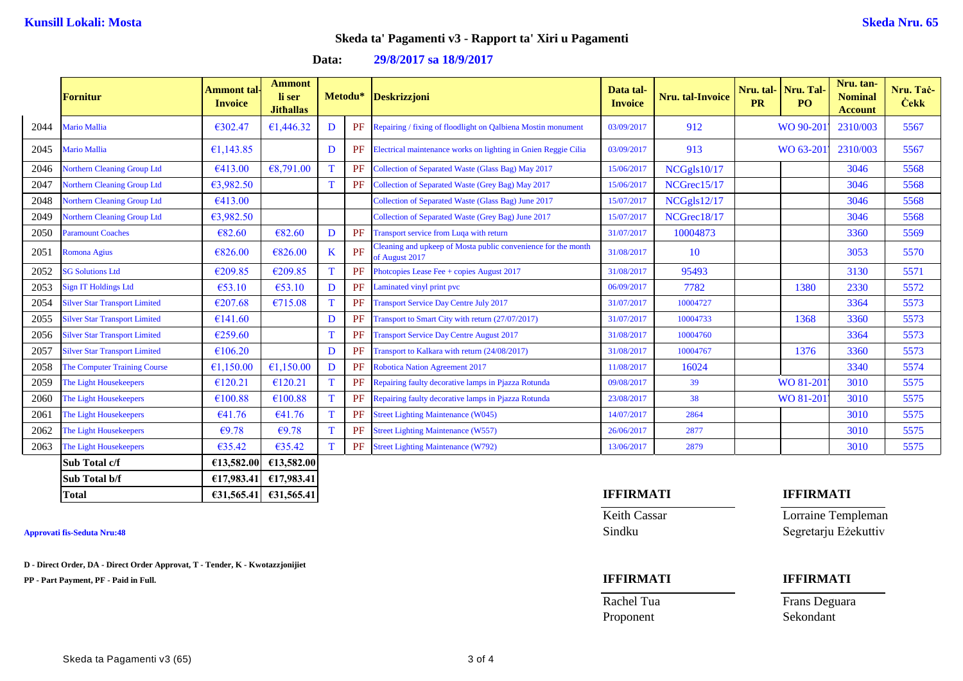### **Skeda ta' Pagamenti v3 - Rapport ta' Xiri u Pagamenti**

**Data: 29/8/2017 sa 18/9/2017**

|      | <b>Fornitur</b>                      | Ammont tal-<br><b>Invoice</b> | <b>Ammont</b><br>li ser<br><b>Jithallas</b> |   | Metodu*   | <b>Deskrizzjoni</b>                                                             | Data tal-<br><b>Invoice</b> | Nru. tal-Invoice | Nru. tal-Nru. Tal<br><b>PR</b> | PO <sub>1</sub>  | Nru. tan-<br><b>Nominal</b><br><b>Account</b> | Nru. Tač-<br><b>Cekk</b> |
|------|--------------------------------------|-------------------------------|---------------------------------------------|---|-----------|---------------------------------------------------------------------------------|-----------------------------|------------------|--------------------------------|------------------|-----------------------------------------------|--------------------------|
| 2044 | Mario Mallia                         | €302.47                       | €1,446.32                                   | D | <b>PF</b> | Repairing / fixing of floodlight on Qalbiena Mostin monument                    | 03/09/2017                  | 912              |                                | WO 90-20         | 2310/003                                      | 5567                     |
| 2045 | Mario Mallia                         | €1,143.85                     |                                             | D | PF        | Electrical maintenance works on lighting in Gnien Reggie Cilia                  | 03/09/2017                  | 913              |                                | WO 63-20         | 2310/003                                      | 5567                     |
| 2046 | <b>Northern Cleaning Group Ltd</b>   | €413.00                       | €8,791.00                                   | T | PF        | Collection of Separated Waste (Glass Bag) May 2017                              | 15/06/2017                  | NCGgls10/17      |                                |                  | 3046                                          | 5568                     |
| 2047 | <b>Northern Cleaning Group Ltd</b>   | €3,982.50                     |                                             |   | PF        | Collection of Separated Waste (Grey Bag) May 2017                               | 15/06/2017                  | NCGrec15/17      |                                |                  | 3046                                          | 5568                     |
| 2048 | <b>Northern Cleaning Group Ltd</b>   | €413.00                       |                                             |   |           | Collection of Separated Waste (Glass Bag) June 2017                             | 15/07/2017                  | NCGgls12/17      |                                |                  | 3046                                          | 5568                     |
| 2049 | <b>Northern Cleaning Group Ltd</b>   | €3,982.50                     |                                             |   |           | Collection of Separated Waste (Grey Bag) June 2017                              | 15/07/2017                  | NCGrec18/17      |                                |                  | 3046                                          | 5568                     |
| 2050 | Paramount Coaches                    | € $82.60$                     | €82.60                                      | D | PF        | Transport service from Luqa with return                                         | 31/07/2017                  | 10004873         |                                |                  | 3360                                          | 5569                     |
| 2051 | Romona Agius                         | €826.00                       | €826.00                                     | K | PF        | Cleaning and upkeep of Mosta public convenience for the month<br>of August 2017 | 31/08/2017                  | 10               |                                |                  | 3053                                          | 5570                     |
| 2052 | <b>SG Solutions Ltd</b>              | €209.85                       | €209.85                                     | T | PF        | Photcopies Lease Fee + copies August 2017                                       | 31/08/2017                  | 95493            |                                |                  | 3130                                          | 5571                     |
| 2053 | <b>Sign IT Holdings Ltd</b>          | €53.10                        | €53.10                                      | D | PF        | Laminated vinyl print pvc                                                       | 06/09/2017                  | 7782             |                                | 1380             | 2330                                          | 5572                     |
| 2054 | <b>Silver Star Transport Limited</b> | €207.68                       | €715.08                                     | T | PF        | <b>Transport Service Day Centre July 2017</b>                                   | 31/07/2017                  | 10004727         |                                |                  | 3364                                          | 5573                     |
| 2055 | <b>Silver Star Transport Limited</b> | €141.60                       |                                             | D | PF        | Fransport to Smart City with return (27/07/2017)                                | 31/07/2017                  | 10004733         |                                | 1368             | 3360                                          | 5573                     |
| 2056 | <b>Silver Star Transport Limited</b> | €259.60                       |                                             | T | PF        | <b>Transport Service Day Centre August 2017</b>                                 | 31/08/2017                  | 10004760         |                                |                  | 3364                                          | 5573                     |
| 2057 | <b>Silver Star Transport Limited</b> | €106.20                       |                                             | D | PF        | Transport to Kalkara with return (24/08/2017)                                   | 31/08/2017                  | 10004767         |                                | 1376             | 3360                                          | 5573                     |
| 2058 | The Computer Training Course         | €1,150.00                     | €1,150.00                                   | D | PF        | <b>Robotica Nation Agreement 2017</b>                                           | 11/08/2017                  | 16024            |                                |                  | 3340                                          | 5574                     |
| 2059 | The Light Housekeepers               | €120.21                       | €120.21                                     | T | PF        | Repairing faulty decorative lamps in Pjazza Rotunda                             | 09/08/2017                  | 39               |                                | WO 81-201        | 3010                                          | 5575                     |
| 2060 | The Light Housekeepers               | €100.88                       | €100.88                                     | T | PF        | Repairing faulty decorative lamps in Pjazza Rotunda                             | 23/08/2017                  | 38               |                                | WO 81-201        | 3010                                          | 5575                     |
| 2061 | The Light Housekeepers               | €41.76                        | €41.76                                      | T | PF        | <b>Street Lighting Maintenance (W045)</b>                                       | 14/07/2017                  | 2864             |                                |                  | 3010                                          | 5575                     |
| 2062 | The Light Housekeepers               | €9.78                         | €9.78                                       | T | PF        | <b>Street Lighting Maintenance (W557)</b>                                       | 26/06/2017                  | 2877             |                                |                  | 3010                                          | 5575                     |
| 2063 | The Light Housekeepers               | €35.42                        | €35.42                                      |   | <b>PF</b> | <b>Street Lighting Maintenance (W792)</b>                                       | 13/06/2017                  | 2879             |                                |                  | 3010                                          | 5575                     |
|      | Sub Total c/f                        | €13,582.00                    | €13,582.00                                  |   |           |                                                                                 |                             |                  |                                |                  |                                               |                          |
|      | Sub Total b/f                        | £17,983.41                    | €17,983.41                                  |   |           |                                                                                 |                             |                  |                                |                  |                                               |                          |
|      | <b>Total</b>                         |                               | $\epsilon$ 31,565.41 $\epsilon$ 31,565.41   |   |           |                                                                                 | <b>IFFIRMATI</b>            |                  |                                | <b>IFFIRMATI</b> |                                               |                          |

**D - Direct Order, DA - Direct Order Approvat, T - Tender, K - Kwotazzjonijiet**

**PP - Part Payment, PF - Paid in Full. IFFIRMATI IFFIRMATI**

Keith Cassar **Lorraine Templeman Approvati fis-Seduta Nru:48** Sindku Segretarju Eżekuttiv

Proponent Sekondant

Rachel Tua Frans Deguara